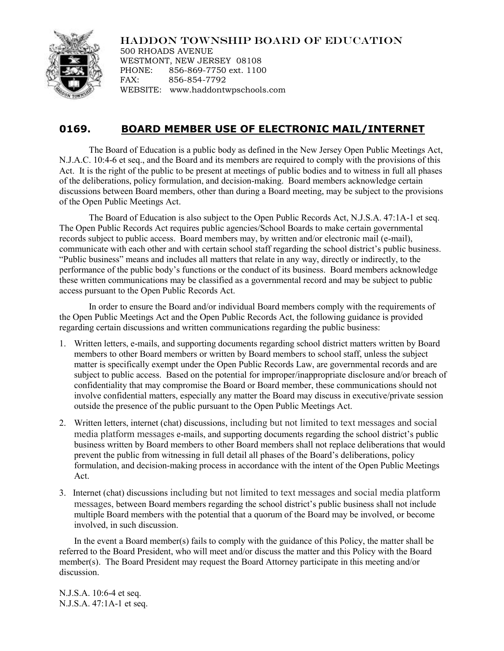## HADDON TOWNSHIP BOARD OF EDUCATION



500 RHOADS AVENUE WESTMONT, NEW JERSEY 08108 PHONE: 856-869-7750 ext. 1100 FAX: 856-854-7792 WEBSITE: www.haddontwpschools.com

## **0169. BOARD MEMBER USE OF ELECTRONIC MAIL/INTERNET**

The Board of Education is a public body as defined in the New Jersey Open Public Meetings Act, N.J.A.C. 10:4-6 et seq., and the Board and its members are required to comply with the provisions of this Act. It is the right of the public to be present at meetings of public bodies and to witness in full all phases of the deliberations, policy formulation, and decision-making. Board members acknowledge certain discussions between Board members, other than during a Board meeting, may be subject to the provisions of the Open Public Meetings Act.

The Board of Education is also subject to the Open Public Records Act, N.J.S.A. 47:1A-1 et seq. The Open Public Records Act requires public agencies/School Boards to make certain governmental records subject to public access. Board members may, by written and/or electronic mail (e-mail), communicate with each other and with certain school staff regarding the school district's public business. "Public business" means and includes all matters that relate in any way, directly or indirectly, to the performance of the public body's functions or the conduct of its business. Board members acknowledge these written communications may be classified as a governmental record and may be subject to public access pursuant to the Open Public Records Act.

In order to ensure the Board and/or individual Board members comply with the requirements of the Open Public Meetings Act and the Open Public Records Act, the following guidance is provided regarding certain discussions and written communications regarding the public business:

- 1. Written letters, e-mails, and supporting documents regarding school district matters written by Board members to other Board members or written by Board members to school staff, unless the subject matter is specifically exempt under the Open Public Records Law, are governmental records and are subject to public access. Based on the potential for improper/inappropriate disclosure and/or breach of confidentiality that may compromise the Board or Board member, these communications should not involve confidential matters, especially any matter the Board may discuss in executive/private session outside the presence of the public pursuant to the Open Public Meetings Act.
- 2. Written letters, internet (chat) discussions, including but not limited to text messages and social media platform messages e-mails, and supporting documents regarding the school district's public business written by Board members to other Board members shall not replace deliberations that would prevent the public from witnessing in full detail all phases of the Board's deliberations, policy formulation, and decision-making process in accordance with the intent of the Open Public Meetings Act.
- 3. Internet (chat) discussions including but not limited to text messages and social media platform messages, between Board members regarding the school district's public business shall not include multiple Board members with the potential that a quorum of the Board may be involved, or become involved, in such discussion.

In the event a Board member(s) fails to comply with the guidance of this Policy, the matter shall be referred to the Board President, who will meet and/or discuss the matter and this Policy with the Board member(s). The Board President may request the Board Attorney participate in this meeting and/or discussion.

N.J.S.A. 10:6-4 et seq. N.J.S.A. 47:1A-1 et seq.